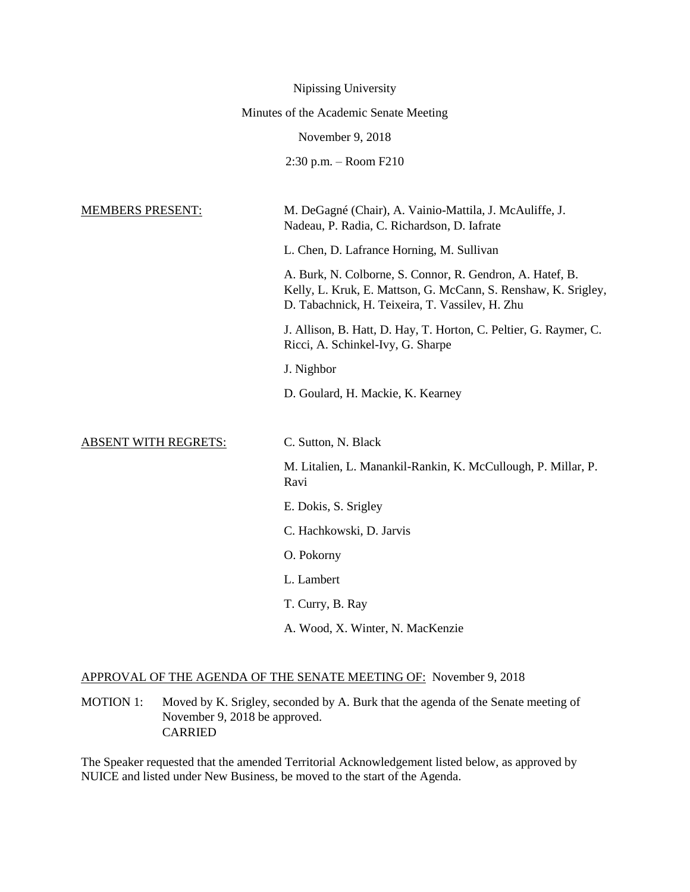|                             | Nipissing University                                                                                                                                                           |
|-----------------------------|--------------------------------------------------------------------------------------------------------------------------------------------------------------------------------|
|                             | Minutes of the Academic Senate Meeting                                                                                                                                         |
|                             | November 9, 2018                                                                                                                                                               |
|                             | $2:30$ p.m. $-$ Room F210                                                                                                                                                      |
|                             |                                                                                                                                                                                |
| <b>MEMBERS PRESENT:</b>     | M. DeGagné (Chair), A. Vainio-Mattila, J. McAuliffe, J.<br>Nadeau, P. Radia, C. Richardson, D. Iafrate                                                                         |
|                             | L. Chen, D. Lafrance Horning, M. Sullivan                                                                                                                                      |
|                             | A. Burk, N. Colborne, S. Connor, R. Gendron, A. Hatef, B.<br>Kelly, L. Kruk, E. Mattson, G. McCann, S. Renshaw, K. Srigley,<br>D. Tabachnick, H. Teixeira, T. Vassilev, H. Zhu |
|                             | J. Allison, B. Hatt, D. Hay, T. Horton, C. Peltier, G. Raymer, C.<br>Ricci, A. Schinkel-Ivy, G. Sharpe                                                                         |
|                             | J. Nighbor                                                                                                                                                                     |
|                             | D. Goulard, H. Mackie, K. Kearney                                                                                                                                              |
| <b>ABSENT WITH REGRETS:</b> | C. Sutton, N. Black                                                                                                                                                            |
|                             | M. Litalien, L. Manankil-Rankin, K. McCullough, P. Millar, P.<br>Ravi                                                                                                          |
|                             | E. Dokis, S. Srigley                                                                                                                                                           |
|                             | C. Hachkowski, D. Jarvis                                                                                                                                                       |
|                             | O. Pokorny                                                                                                                                                                     |
|                             | L. Lambert                                                                                                                                                                     |
|                             | T. Curry, B. Ray                                                                                                                                                               |
|                             | A. Wood, X. Winter, N. MacKenzie                                                                                                                                               |
|                             |                                                                                                                                                                                |

# APPROVAL OF THE AGENDA OF THE SENATE MEETING OF: November 9, 2018

MOTION 1: Moved by K. Srigley, seconded by A. Burk that the agenda of the Senate meeting of November 9, 2018 be approved. CARRIED

The Speaker requested that the amended Territorial Acknowledgement listed below, as approved by NUICE and listed under New Business, be moved to the start of the Agenda.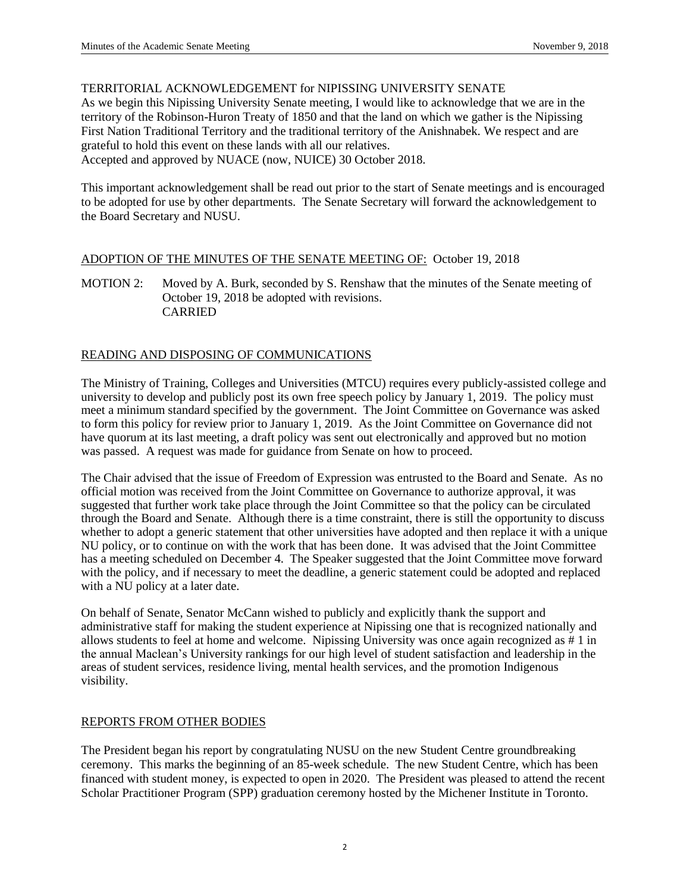## TERRITORIAL ACKNOWLEDGEMENT for NIPISSING UNIVERSITY SENATE

As we begin this Nipissing University Senate meeting, I would like to acknowledge that we are in the territory of the Robinson-Huron Treaty of 1850 and that the land on which we gather is the Nipissing First Nation Traditional Territory and the traditional territory of the Anishnabek. We respect and are grateful to hold this event on these lands with all our relatives. Accepted and approved by NUACE (now, NUICE) 30 October 2018.

This important acknowledgement shall be read out prior to the start of Senate meetings and is encouraged to be adopted for use by other departments. The Senate Secretary will forward the acknowledgement to the Board Secretary and NUSU.

#### ADOPTION OF THE MINUTES OF THE SENATE MEETING OF: October 19, 2018

MOTION 2: Moved by A. Burk, seconded by S. Renshaw that the minutes of the Senate meeting of October 19, 2018 be adopted with revisions. CARRIED

## READING AND DISPOSING OF COMMUNICATIONS

The Ministry of Training, Colleges and Universities (MTCU) requires every publicly-assisted college and university to develop and publicly post its own free speech policy by January 1, 2019. The policy must meet a minimum standard specified by the government. The Joint Committee on Governance was asked to form this policy for review prior to January 1, 2019. As the Joint Committee on Governance did not have quorum at its last meeting, a draft policy was sent out electronically and approved but no motion was passed. A request was made for guidance from Senate on how to proceed.

The Chair advised that the issue of Freedom of Expression was entrusted to the Board and Senate. As no official motion was received from the Joint Committee on Governance to authorize approval, it was suggested that further work take place through the Joint Committee so that the policy can be circulated through the Board and Senate. Although there is a time constraint, there is still the opportunity to discuss whether to adopt a generic statement that other universities have adopted and then replace it with a unique NU policy, or to continue on with the work that has been done. It was advised that the Joint Committee has a meeting scheduled on December 4. The Speaker suggested that the Joint Committee move forward with the policy, and if necessary to meet the deadline, a generic statement could be adopted and replaced with a NU policy at a later date.

On behalf of Senate, Senator McCann wished to publicly and explicitly thank the support and administrative staff for making the student experience at Nipissing one that is recognized nationally and allows students to feel at home and welcome. Nipissing University was once again recognized as # 1 in the annual Maclean's University rankings for our high level of student satisfaction and leadership in the areas of student services, residence living, mental health services, and the promotion Indigenous visibility.

## REPORTS FROM OTHER BODIES

The President began his report by congratulating NUSU on the new Student Centre groundbreaking ceremony. This marks the beginning of an 85-week schedule. The new Student Centre, which has been financed with student money, is expected to open in 2020. The President was pleased to attend the recent Scholar Practitioner Program (SPP) graduation ceremony hosted by the Michener Institute in Toronto.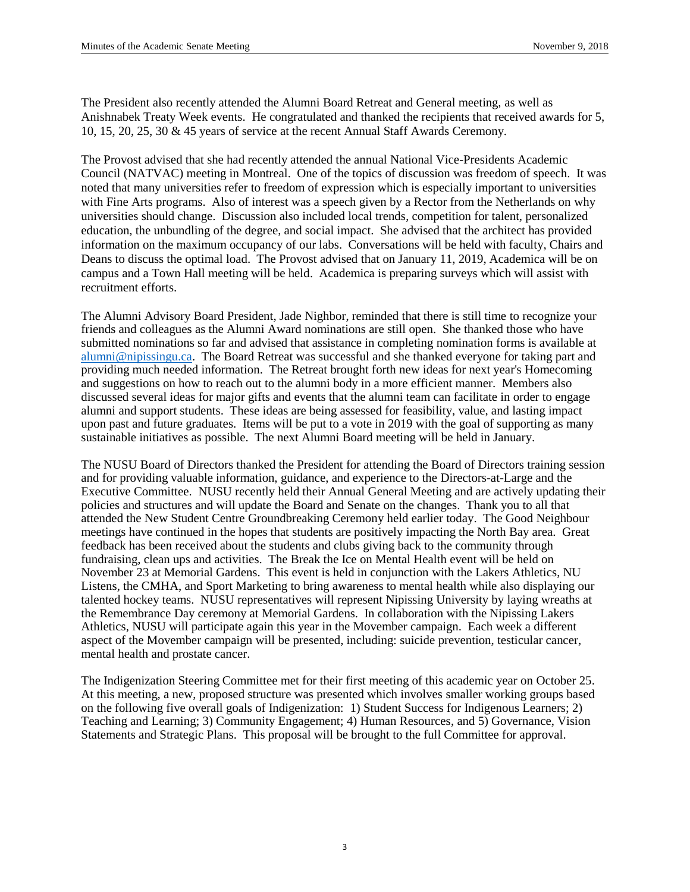The President also recently attended the Alumni Board Retreat and General meeting, as well as Anishnabek Treaty Week events. He congratulated and thanked the recipients that received awards for 5, 10, 15, 20, 25, 30 & 45 years of service at the recent Annual Staff Awards Ceremony.

The Provost advised that she had recently attended the annual National Vice-Presidents Academic Council (NATVAC) meeting in Montreal. One of the topics of discussion was freedom of speech. It was noted that many universities refer to freedom of expression which is especially important to universities with Fine Arts programs. Also of interest was a speech given by a Rector from the Netherlands on why universities should change. Discussion also included local trends, competition for talent, personalized education, the unbundling of the degree, and social impact. She advised that the architect has provided information on the maximum occupancy of our labs. Conversations will be held with faculty, Chairs and Deans to discuss the optimal load. The Provost advised that on January 11, 2019, Academica will be on campus and a Town Hall meeting will be held. Academica is preparing surveys which will assist with recruitment efforts.

The Alumni Advisory Board President, Jade Nighbor, reminded that there is still time to recognize your friends and colleagues as the Alumni Award nominations are still open. She thanked those who have submitted nominations so far and advised that assistance in completing nomination forms is available at [alumni@nipissingu.ca.](mailto:alumni@nipissingu.ca) The Board Retreat was successful and she thanked everyone for taking part and providing much needed information. The Retreat brought forth new ideas for next year's Homecoming and suggestions on how to reach out to the alumni body in a more efficient manner. Members also discussed several ideas for major gifts and events that the alumni team can facilitate in order to engage alumni and support students. These ideas are being assessed for feasibility, value, and lasting impact upon past and future graduates. Items will be put to a vote in 2019 with the goal of supporting as many sustainable initiatives as possible. The next Alumni Board meeting will be held in January.

The NUSU Board of Directors thanked the President for attending the Board of Directors training session and for providing valuable information, guidance, and experience to the Directors-at-Large and the Executive Committee. NUSU recently held their Annual General Meeting and are actively updating their policies and structures and will update the Board and Senate on the changes. Thank you to all that attended the New Student Centre Groundbreaking Ceremony held earlier today. The Good Neighbour meetings have continued in the hopes that students are positively impacting the North Bay area. Great feedback has been received about the students and clubs giving back to the community through fundraising, clean ups and activities. The Break the Ice on Mental Health event will be held on November 23 at Memorial Gardens. This event is held in conjunction with the Lakers Athletics, NU Listens, the CMHA, and Sport Marketing to bring awareness to mental health while also displaying our talented hockey teams. NUSU representatives will represent Nipissing University by laying wreaths at the Remembrance Day ceremony at Memorial Gardens. In collaboration with the Nipissing Lakers Athletics, NUSU will participate again this year in the Movember campaign. Each week a different aspect of the Movember campaign will be presented, including: suicide prevention, testicular cancer, mental health and prostate cancer.

The Indigenization Steering Committee met for their first meeting of this academic year on October 25. At this meeting, a new, proposed structure was presented which involves smaller working groups based on the following five overall goals of Indigenization: 1) Student Success for Indigenous Learners; 2) Teaching and Learning; 3) Community Engagement; 4) Human Resources, and 5) Governance, Vision Statements and Strategic Plans. This proposal will be brought to the full Committee for approval.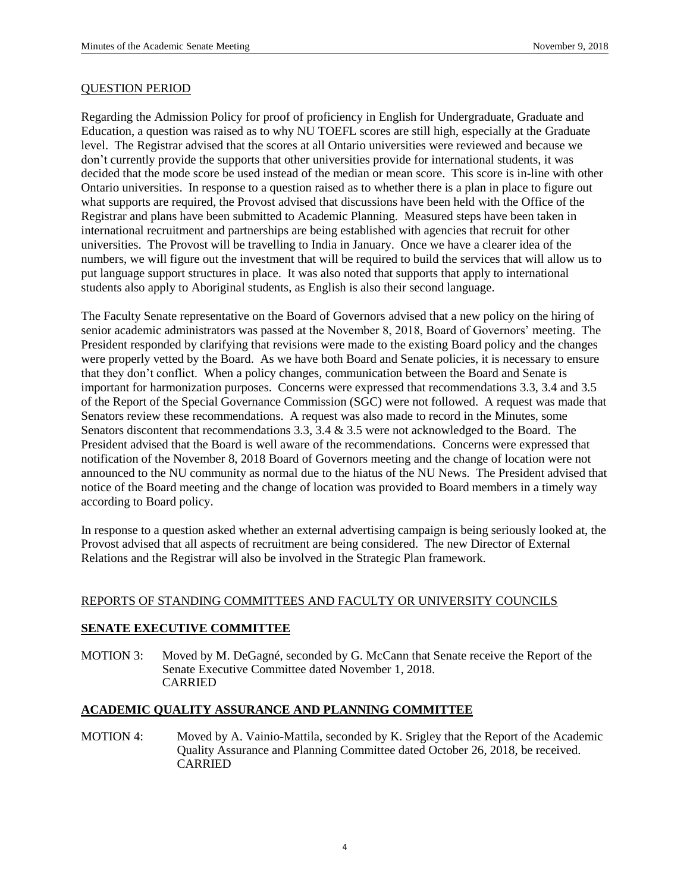#### QUESTION PERIOD

Regarding the Admission Policy for proof of proficiency in English for Undergraduate, Graduate and Education, a question was raised as to why NU TOEFL scores are still high, especially at the Graduate level. The Registrar advised that the scores at all Ontario universities were reviewed and because we don't currently provide the supports that other universities provide for international students, it was decided that the mode score be used instead of the median or mean score. This score is in-line with other Ontario universities. In response to a question raised as to whether there is a plan in place to figure out what supports are required, the Provost advised that discussions have been held with the Office of the Registrar and plans have been submitted to Academic Planning. Measured steps have been taken in international recruitment and partnerships are being established with agencies that recruit for other universities. The Provost will be travelling to India in January. Once we have a clearer idea of the numbers, we will figure out the investment that will be required to build the services that will allow us to put language support structures in place. It was also noted that supports that apply to international students also apply to Aboriginal students, as English is also their second language.

The Faculty Senate representative on the Board of Governors advised that a new policy on the hiring of senior academic administrators was passed at the November 8, 2018, Board of Governors' meeting. The President responded by clarifying that revisions were made to the existing Board policy and the changes were properly vetted by the Board. As we have both Board and Senate policies, it is necessary to ensure that they don't conflict. When a policy changes, communication between the Board and Senate is important for harmonization purposes. Concerns were expressed that recommendations 3.3, 3.4 and 3.5 of the Report of the Special Governance Commission (SGC) were not followed. A request was made that Senators review these recommendations. A request was also made to record in the Minutes, some Senators discontent that recommendations 3.3, 3.4 & 3.5 were not acknowledged to the Board. The President advised that the Board is well aware of the recommendations. Concerns were expressed that notification of the November 8, 2018 Board of Governors meeting and the change of location were not announced to the NU community as normal due to the hiatus of the NU News. The President advised that notice of the Board meeting and the change of location was provided to Board members in a timely way according to Board policy.

In response to a question asked whether an external advertising campaign is being seriously looked at, the Provost advised that all aspects of recruitment are being considered. The new Director of External Relations and the Registrar will also be involved in the Strategic Plan framework.

## REPORTS OF STANDING COMMITTEES AND FACULTY OR UNIVERSITY COUNCILS

## **SENATE EXECUTIVE COMMITTEE**

MOTION 3: Moved by M. DeGagné, seconded by G. McCann that Senate receive the Report of the Senate Executive Committee dated November 1, 2018. CARRIED

#### **ACADEMIC QUALITY ASSURANCE AND PLANNING COMMITTEE**

MOTION 4: Moved by A. Vainio-Mattila, seconded by K. Srigley that the Report of the Academic Quality Assurance and Planning Committee dated October 26, 2018, be received. CARRIED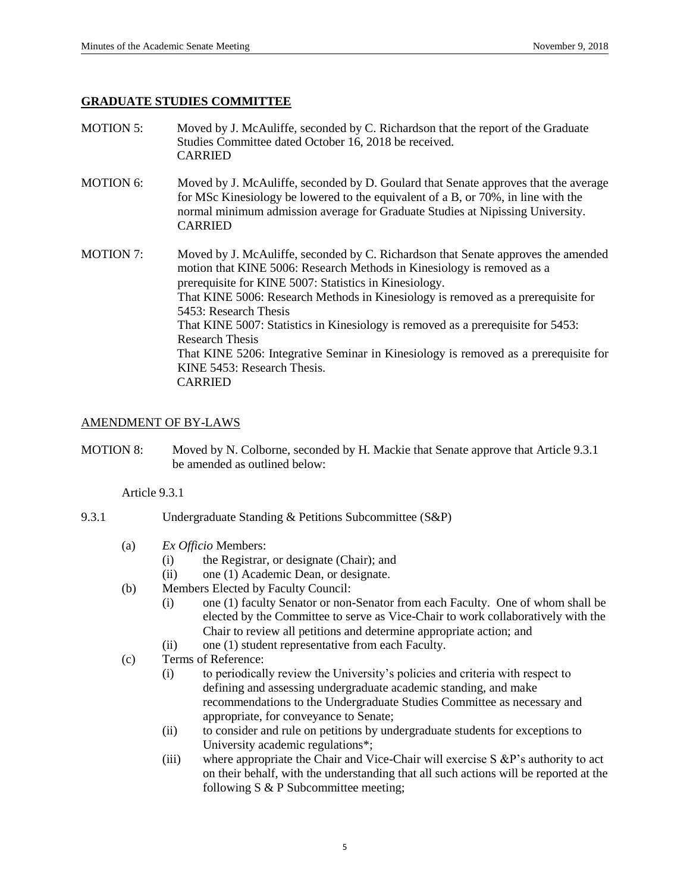## **GRADUATE STUDIES COMMITTEE**

- MOTION 5: Moved by J. McAuliffe, seconded by C. Richardson that the report of the Graduate Studies Committee dated October 16, 2018 be received. CARRIED
- MOTION 6: Moved by J. McAuliffe, seconded by D. Goulard that Senate approves that the average for MSc Kinesiology be lowered to the equivalent of a B, or 70%, in line with the normal minimum admission average for Graduate Studies at Nipissing University. CARRIED
- MOTION 7: Moved by J. McAuliffe, seconded by C. Richardson that Senate approves the amended motion that KINE 5006: Research Methods in Kinesiology is removed as a prerequisite for KINE 5007: Statistics in Kinesiology. That KINE 5006: Research Methods in Kinesiology is removed as a prerequisite for 5453: Research Thesis That KINE 5007: Statistics in Kinesiology is removed as a prerequisite for 5453: Research Thesis That KINE 5206: Integrative Seminar in Kinesiology is removed as a prerequisite for KINE 5453: Research Thesis. CARRIED

## AMENDMENT OF BY-LAWS

MOTION 8: Moved by N. Colborne, seconded by H. Mackie that Senate approve that Article 9.3.1 be amended as outlined below:

Article 9.3.1

- 9.3.1 Undergraduate Standing & Petitions Subcommittee (S&P)
	- (a) *Ex Officio* Members:
		- (i) the Registrar, or designate (Chair); and
		- (ii) one (1) Academic Dean, or designate.
	- (b) Members Elected by Faculty Council:
		- (i) one (1) faculty Senator or non-Senator from each Faculty. One of whom shall be elected by the Committee to serve as Vice-Chair to work collaboratively with the Chair to review all petitions and determine appropriate action; and
		- (ii) one (1) student representative from each Faculty.
	- (c) Terms of Reference:
		- (i) to periodically review the University's policies and criteria with respect to defining and assessing undergraduate academic standing, and make recommendations to the Undergraduate Studies Committee as necessary and appropriate, for conveyance to Senate;
		- (ii) to consider and rule on petitions by undergraduate students for exceptions to University academic regulations\*;
		- (iii) where appropriate the Chair and Vice-Chair will exercise S &P's authority to act on their behalf, with the understanding that all such actions will be reported at the following S & P Subcommittee meeting;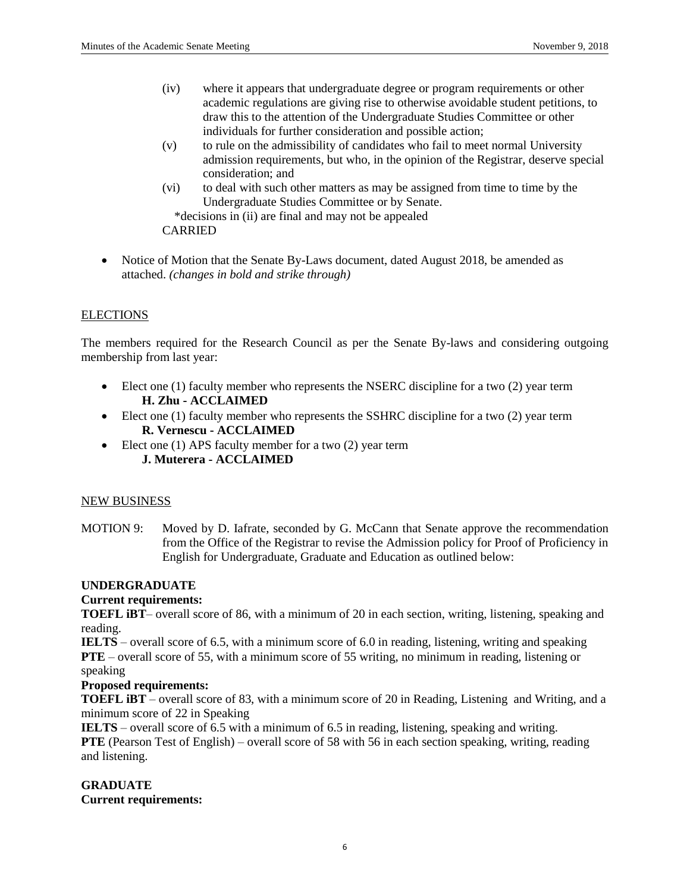- (iv) where it appears that undergraduate degree or program requirements or other academic regulations are giving rise to otherwise avoidable student petitions, to draw this to the attention of the Undergraduate Studies Committee or other individuals for further consideration and possible action;
- (v) to rule on the admissibility of candidates who fail to meet normal University admission requirements, but who, in the opinion of the Registrar, deserve special consideration; and
- (vi) to deal with such other matters as may be assigned from time to time by the Undergraduate Studies Committee or by Senate.

\*decisions in (ii) are final and may not be appealed

CARRIED

• Notice of Motion that the Senate By-Laws document, dated August 2018, be amended as attached. *(changes in bold and strike through)*

## **ELECTIONS**

The members required for the Research Council as per the Senate By-laws and considering outgoing membership from last year:

- Elect one (1) faculty member who represents the NSERC discipline for a two (2) year term **H. Zhu - ACCLAIMED**
- Elect one (1) faculty member who represents the SSHRC discipline for a two (2) year term **R. Vernescu - ACCLAIMED**
- Elect one (1) APS faculty member for a two (2) year term **J. Muterera - ACCLAIMED**

## NEW BUSINESS

MOTION 9: Moved by D. Iafrate, seconded by G. McCann that Senate approve the recommendation from the Office of the Registrar to revise the Admission policy for Proof of Proficiency in English for Undergraduate, Graduate and Education as outlined below:

## **UNDERGRADUATE**

## **Current requirements:**

**TOEFL IBT**– overall score of 86, with a minimum of 20 in each section, writing, listening, speaking and reading.

**IELTS** – overall score of 6.5, with a minimum score of 6.0 in reading, listening, writing and speaking **PTE** – overall score of 55, with a minimum score of 55 writing, no minimum in reading, listening or speaking

## **Proposed requirements:**

**TOEFL iBT** – overall score of 83, with a minimum score of 20 in Reading, Listening and Writing, and a minimum score of 22 in Speaking

**IELTS** – overall score of 6.5 with a minimum of 6.5 in reading, listening, speaking and writing. **PTE** (Pearson Test of English) – overall score of 58 with 56 in each section speaking, writing, reading and listening.

# **GRADUATE**

**Current requirements:**